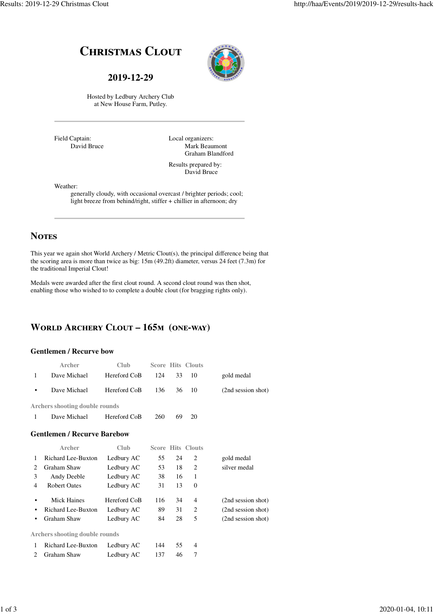# **CHRISTMAS CLOUT**

#### **2019-12-29**



Hosted by Ledbury Archery Club at New House Farm, Putley.

Field Captain: David Bruce Local organizers: Mark Beaumont Graham Blandford

Results prepared by: David Bruce

Weather:

generally cloudy, with occasional overcast / brighter periods; cool; light breeze from behind/right, stiffer + chillier in afternoon; dry

### **NOTES**

This year we again shot World Archery / Metric Clout(s), the principal difference being that the scoring area is more than twice as big: 15m (49.2ft) diameter, versus 24 feet (7.3m) for the traditional Imperial Clout!

Medals were awarded after the first clout round. A second clout round was then shot, enabling those who wished to to complete a double clout (for bragging rights only).

### **WORLD ARCHERY CLOUT - 165M (ONE-WAY)**

#### **Gentlemen / Recurve bow**

|              | Archer                                | Club         |     |    | <b>Score Hits Clouts</b> |                    |
|--------------|---------------------------------------|--------------|-----|----|--------------------------|--------------------|
| $\mathbf{1}$ | Dave Michael                          | Hereford CoB | 124 | 33 | 10                       | gold medal         |
| ٠            | Dave Michael                          | Hereford CoB | 136 | 36 | 10                       | (2nd session shot) |
|              | <b>Archers shooting double rounds</b> |              |     |    |                          |                    |
| 1            | Dave Michael                          | Hereford CoB | 260 | 69 | 20                       |                    |
|              | <b>Gentlemen / Recurve Barebow</b>    |              |     |    |                          |                    |
|              | Archer                                | <b>Club</b>  |     |    | <b>Score Hits Clouts</b> |                    |
| 1            | Richard Lee-Buxton                    | Ledbury AC   | 55  | 24 | 2                        | gold medal         |
| 2            | <b>Graham Shaw</b>                    | Ledbury AC   | 53  | 18 | $\overline{c}$           | silver medal       |
| 3            | Andy Deeble                           | Ledbury AC   | 38  | 16 | 1                        |                    |
| 4            | <b>Robert Oates</b>                   | Ledbury AC   | 31  | 13 | $\mathbf{0}$             |                    |
| ٠            | <b>Mick Haines</b>                    | Hereford CoB | 116 | 34 | 4                        | (2nd session shot) |
| ٠            | <b>Richard Lee-Buxton</b>             | Ledbury AC   | 89  | 31 | $\overline{c}$           | (2nd session shot) |
| ٠            | Graham Shaw                           | Ledbury AC   | 84  | 28 | 5                        | (2nd session shot) |
|              | <b>Archers shooting double rounds</b> |              |     |    |                          |                    |
| 1            | <b>Richard Lee-Buxton</b>             | Ledbury AC   | 144 | 55 | 4                        |                    |
| 2            | Graham Shaw                           | Ledbury AC   | 137 | 46 | 7                        |                    |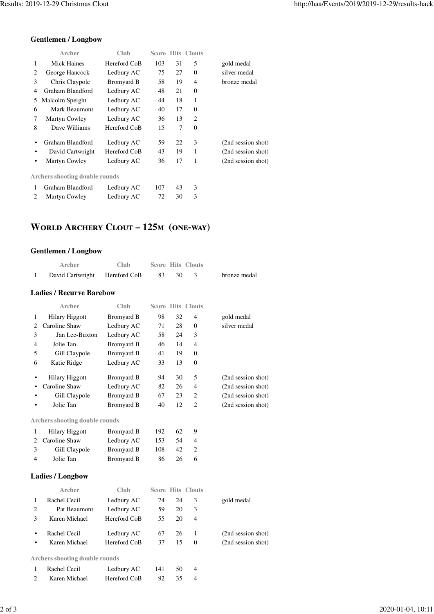#### **Gentlemen / Longbow**

|   | Archer                                | Club         |     |    | <b>Score Hits Clouts</b> |                    |
|---|---------------------------------------|--------------|-----|----|--------------------------|--------------------|
| 1 | <b>Mick Haines</b>                    | Hereford CoB | 103 | 31 | 5                        | gold medal         |
| 2 | George Hancock                        | Ledbury AC   | 75  | 27 | $\Omega$                 | silver medal       |
| 3 | Chris Claypole                        | Bromyard B   | 58  | 19 | 4                        | bronze medal       |
| 4 | Graham Blandford                      | Ledbury AC   | 48  | 21 | $\mathbf{0}$             |                    |
| 5 | Malcolm Speight                       | Ledbury AC   | 44  | 18 | 1                        |                    |
| 6 | Mark Beaumont                         | Ledbury AC   | 40  | 17 | $\mathbf{0}$             |                    |
| 7 | Martyn Cowley                         | Ledbury AC   | 36  | 13 | $\overline{c}$           |                    |
| 8 | Dave Williams                         | Hereford CoB | 15  | 7  | $\Omega$                 |                    |
| ٠ | Graham Blandford                      | Ledbury AC   | 59  | 22 | 3                        | (2nd session shot) |
| ٠ | David Cartwright                      | Hereford CoB | 43  | 19 | 1                        | (2nd session shot) |
| ٠ | Martyn Cowley                         | Ledbury AC   | 36  | 17 | 1                        | (2nd session shot) |
|   | <b>Archers shooting double rounds</b> |              |     |    |                          |                    |
| 1 | Graham Blandford                      | Ledbury AC   | 107 | 43 | 3                        |                    |
| 2 | Martyn Cowley                         | Ledbury AC   | 72  | 30 | 3                        |                    |

### **WORLD ARCHERY CLOUT - 125M (ONE-WAY)**

#### **Gentlemen / Longbow**

|              | <b>Archer</b>                         | Club              |     |    | <b>Score Hits Clouts</b> |                    |
|--------------|---------------------------------------|-------------------|-----|----|--------------------------|--------------------|
| $\mathbf{1}$ | David Cartwright                      | Hereford CoB      | 83  | 30 | 3                        | bronze medal       |
|              | <b>Ladies / Recurve Barebow</b>       |                   |     |    |                          |                    |
|              | Archer                                | Club              |     |    | <b>Score Hits Clouts</b> |                    |
| 1            | <b>Hilary Higgott</b>                 | Bromyard B        | 98  | 32 | 4                        | gold medal         |
| 2            | Caroline Shaw                         | Ledbury AC        | 71  | 28 | 0                        | silver medal       |
| 3            | Jan Lee-Buxton                        | Ledbury AC        | 58  | 24 | 3                        |                    |
| 4            | Jolie Tan                             | <b>Bromyard B</b> | 46  | 14 | 4                        |                    |
| 5            | Gill Claypole                         | Bromyard B        | 41  | 19 | $\mathbf{0}$             |                    |
| 6            | Katie Ridge                           | Ledbury AC        | 33  | 13 | $\overline{0}$           |                    |
| ٠            | <b>Hilary Higgott</b>                 | <b>Bromyard B</b> | 94  | 30 | 5                        | (2nd session shot) |
|              | Caroline Shaw                         | Ledbury AC        | 82  | 26 | 4                        | (2nd session shot) |
|              | Gill Claypole                         | Bromyard B        | 67  | 23 | 2                        | (2nd session shot) |
|              | Jolie Tan                             | <b>Bromyard B</b> | 40  | 12 | $\overline{2}$           | (2nd session shot) |
|              | <b>Archers shooting double rounds</b> |                   |     |    |                          |                    |
| 1            | <b>Hilary Higgott</b>                 | Bromyard B        | 192 | 62 | 9                        |                    |
| 2            | Caroline Shaw                         | Ledbury AC        | 153 | 54 | 4                        |                    |
| 3            | Gill Claypole                         | <b>Bromyard B</b> | 108 | 42 | $\overline{2}$           |                    |
| 4            | Jolie Tan                             | <b>Bromyard B</b> | 86  | 26 | 6                        |                    |
|              | <b>Ladies / Longbow</b>               |                   |     |    |                          |                    |
|              | Archer                                | Club              |     |    | <b>Score Hits Clouts</b> |                    |
| 1            | Rachel Cecil                          | Ledbury AC        | 74  | 24 | 3                        | gold medal         |
| 2            | Pat Beaumont                          | Ledbury AC        | 59  | 20 | 3                        |                    |
| 3            | Karen Michael                         | Hereford CoB      | 55  | 20 | 4                        |                    |
| ٠            | Rachel Cecil                          | Ledbury AC        | 67  | 26 | 1                        | (2nd session shot) |
| $\bullet$    | Karen Michael                         | Hereford CoB      | 37  | 15 | $\overline{0}$           | (2nd session shot) |
|              | <b>Archers shooting double rounds</b> |                   |     |    |                          |                    |
| 1            | Rachel Cecil                          | Ledbury AC        | 141 | 50 | 4                        |                    |
| 2            | Karen Michael                         | Hereford CoB      | 92  | 35 | 4                        |                    |